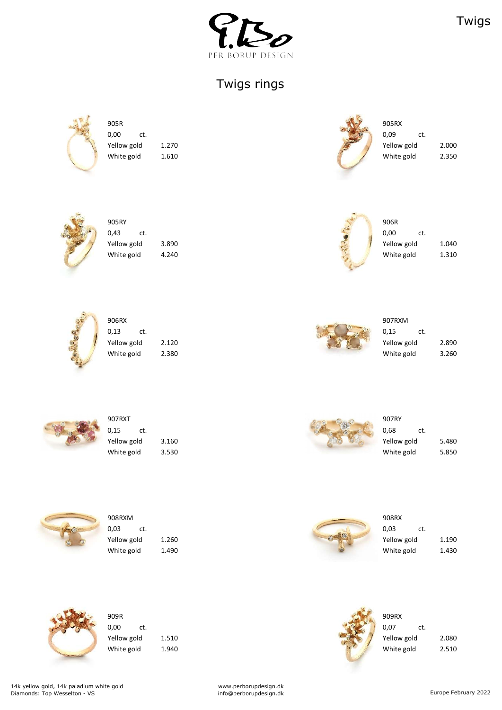

Twigs





| 905RY       |       | 906R        |
|-------------|-------|-------------|
| 0,43<br>ct. |       | 0,00<br>ct. |
| Yellow gold | 3.890 | Yellow gold |
| White gold  | 4.240 | White gold  |



0,13 ct.  $\frac{1}{2}$  ct. **The Vellow gold** 2.120 **Yellow gold** 2.890 White gold 2.380 2.380 2.5 and 2.380 2.5 and 2.260 2.260 2.260 2.260 White gold 3.260



Yellow gold  $3.890$   $\begin{array}{ccc} 3.890 & \text{Yellow gold} \end{array}$  1.040 White gold  $4.240$   $4.240$ 



| low gold  | 2.890 |
|-----------|-------|
| iite gold | 3.260 |





www.perborupdesign.dk info@perborupdesign.dk example and the example of the Europe February 2022

| 907RXT      |       | 907RY       |       |
|-------------|-------|-------------|-------|
| 0,15<br>ct. |       | 0,68<br>ct. |       |
| Yellow gold | 3.160 | Yellow gold | 5.480 |
| White gold  | 3.530 | White gold  | 5.850 |







**The Vellow gold** 1.260 **Yellow gold** 1.190 white gold 1.490 and 1.430 Month of the U.S. of the U.S. of the U.S. of the U.S. of the U.S. of the U.S. of the U



 $\begin{array}{ccc} 0,00 & \quad \text{ct.} \end{array}$ 



Yellow gold 1.510 1.510 1.510 1.510 1.510 1.510 1.510 1.080 1.080 1.080 1.080 1.080 1.080 1.080 1.080 1.080 1.0 White gold 1.940 1.940

## Twigs rings



 $\overline{0.00}$  ct.  $\overline{0.09}$  ct. Yellow gold 1.270 1.270 1.270 1.270 1.270 2.000 1.270 1.270 2.000 2.000 2.000 2.000 2.000 2.000 2.000 2.000 2.000 White gold  $1.610$   $2.350$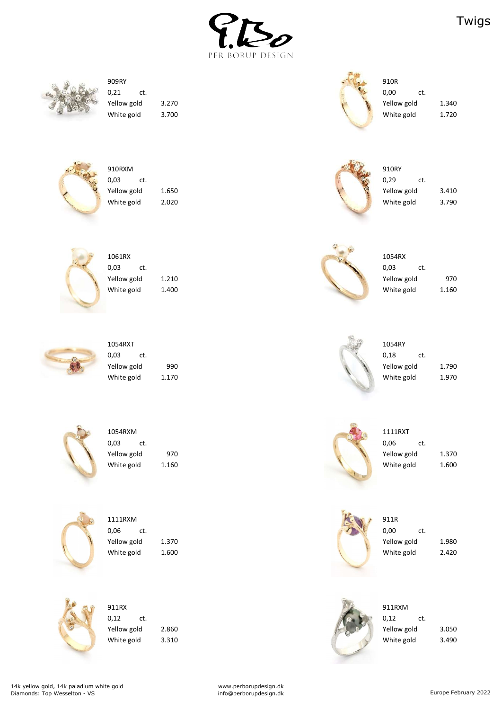



0,21 ct.  $\frac{1}{2}$  0,00 ct.



Yellow gold 3.270 3.270 White gold 3.700 3.700 3.700 and the state of the state of the state of the state of the state of the state of the state of the state of the state of the state of the state of the state of the state of the state of the sta





| 910RXM      |       | 910RY       |       |
|-------------|-------|-------------|-------|
| 0,03<br>ct. |       | 0,29<br>ct. |       |
| Yellow gold | 1.650 | Yellow gold | 3.410 |
| White gold  | 2.020 | White gold  | 3.790 |



 $1061\text{RX}$  1054RX  $0.03$  ct.  $0.03$  ct. Yellow gold 1.210



Yellow gold 970 Yellow gold 1.370 White gold 1.160 1.160 1.600

| 1061RX      |       | 1054RX      |       |
|-------------|-------|-------------|-------|
| 0,03<br>ct. |       | 0,03<br>ct. |       |
| Yellow gold | 1.210 | Yellow gold | 970   |
| White gold  | 1.400 | White gold  | 1.160 |



Yellow gold 2.860 Yellow gold 3.050 White gold 3.310 3.490

| 1054RXT     |       |  | 1054RY      |     |
|-------------|-------|--|-------------|-----|
| 0,03<br>ct. |       |  | 0,18        | ct. |
| Yellow gold | 990   |  | Yellow gold |     |
| White gold  | 1.170 |  | White gold  |     |



and the state of the state of the state of the state of the state of the state of the state of the state of the state of the state of the state of the state of the state of the state of the state of the state of the state 0,03 ct.  $\frac{1}{2}$  0,06 ct.





| 1054RXT     |       | 1054RY      |       |
|-------------|-------|-------------|-------|
| 0,03<br>ct. |       | 0,18<br>ct. |       |
| Yellow gold | 990   | Yellow gold | 1.790 |
| White gold  | 1.170 | White gold  | 1.970 |



www.perborupdesign.dk info@perborupdesign.dk example february 2022





Yellow gold 1.370 1.980 White gold 1.600 1.600 and the state of the United States of the United States of the United States of the United States of the United States of the United States of the United States of the United States of the United Sta



0,12 ct.  $\sqrt{2}$  ct.

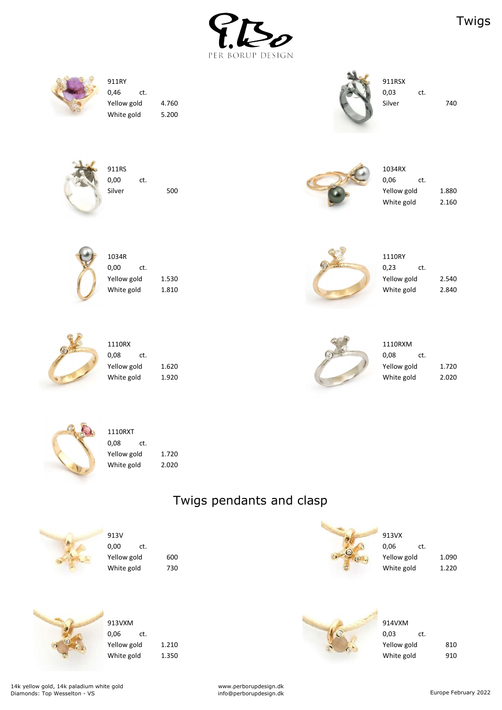



Yellow gold 4.760 200 4.760 Silver 740 White gold 5.200







| 911RS  |     |     |  | 1034RX      |     |       |
|--------|-----|-----|--|-------------|-----|-------|
| 0,00   | ct. |     |  | 0,06        | ct. |       |
| Silver |     | 500 |  | Yellow gold |     | 1.880 |
|        |     |     |  | White gold  |     | 2.160 |



0,00 ct.  $\qquad \qquad 0.23$  ct. Yellow gold 2.530



1110RXT 0,08 ct. Yellow gold 1.720 White gold 2.020

| 1034R       |       | 1110RY      |       |
|-------------|-------|-------------|-------|
| 0,00<br>ct. |       | 0,23<br>ct. |       |
| Yellow gold | 1.530 | Yellow gold | 2.540 |
| White gold  | 1.810 | White gold  | 2.840 |



| 1110RX      |       | 1110RXM     |     |
|-------------|-------|-------------|-----|
| 0,08<br>ct. |       | 0,08        | ct. |
| Yellow gold | 1.620 | Yellow gold |     |
| White gold  | 1.920 | White gold  |     |



| 1110RX      |       | <b>SIGNAL</b> | 1110RXM     |       |
|-------------|-------|---------------|-------------|-------|
| 0,08<br>ct. |       |               | 0,08<br>ct. |       |
| Yellow gold | 1.620 |               | Yellow gold | 1.720 |
| White gold  | 1.920 |               | White gold  | 2.020 |



www.perborupdesign.dk info@perborupdesign.dk example february 2022





| 0,06        | ct. |       |
|-------------|-----|-------|
| Yellow gold |     | 1.090 |
| White gold  |     | 1.220 |





| 913VXM      |       | 914VXM      |     |
|-------------|-------|-------------|-----|
| 0,06<br>ct. |       | 0,03<br>ct. |     |
| Yellow gold | 1.210 | Yellow gold | 810 |
| White gold  | 1.350 | White gold  | 910 |

## Twigs pendants and clasp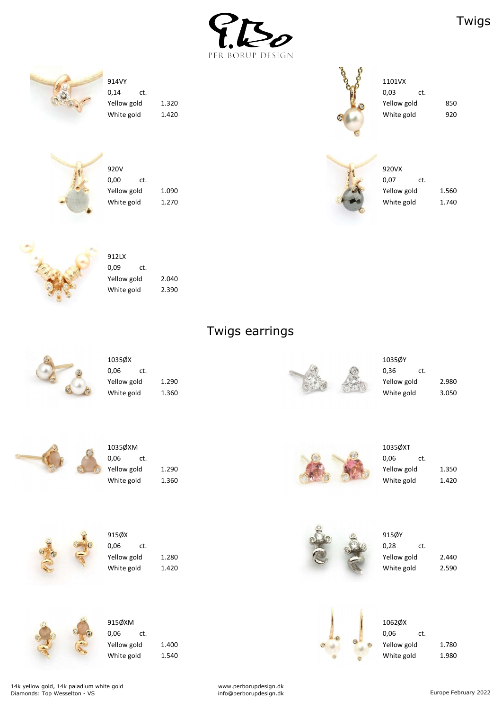



0,14 ct.  $\qquad \qquad 0.03$  ct. Yellow gold 1.320 White gold 1.420



| 1101VX      |     |     |
|-------------|-----|-----|
| 0,03        | ct. |     |
| Yellow gold |     | 85C |
| White gold  |     | 920 |





| 920V        |       | 920VX       |       |
|-------------|-------|-------------|-------|
| 0,00<br>ct. |       | 0,07<br>ct. |       |
| Yellow gold | 1.090 | Yellow gold | 1.560 |
| White gold  | 1.270 | White gold  | 1.740 |



| 912I X      |     |       |
|-------------|-----|-------|
| 0,09        | ct. |       |
| Yellow gold |     | 2.040 |
| White gold  |     | 2.390 |

| 1035ØX      |       |  | 1035ØY   |
|-------------|-------|--|----------|
| 0,06<br>ct. |       |  | 0,36     |
| Yellow gold | 1.290 |  | Yellow g |
| White gold  | 1.360 |  | White g  |



| 1035ØY      |     |     |
|-------------|-----|-----|
| 0,36        | ct. |     |
| Yellow gold |     | 2.9 |
| Mchita anld |     | 2 C |



| 1035ØXM     |     |       |
|-------------|-----|-------|
| 0,06        | ct. |       |
| Yellow gold |     | 1.290 |
| White gold  |     | 1.360 |

www.perborupdesign.dk info@perborupdesign.dk example february 2022



| 1035ØXT     |     |       |
|-------------|-----|-------|
| 0,06        | ct. |       |
| Yellow gold |     | 1.350 |
| White gold  |     | 1.420 |









| -----       |       | <b>GO LOOKED</b> |             | -----       |     |       |
|-------------|-------|------------------|-------------|-------------|-----|-------|
| 0,06<br>ct. |       |                  | <b>ALTA</b> | 0,28        | ct. |       |
| Yellow gold | 1.280 |                  |             | Yellow gold |     | 2.440 |
| White gold  | 1.420 |                  |             | White gold  |     | 2.590 |



| 915ØXM      |     |      |
|-------------|-----|------|
| 0,06        | ct. |      |
| Yellow gold |     | 1.40 |
| White gold  |     | 1.54 |



# Twigs earrings